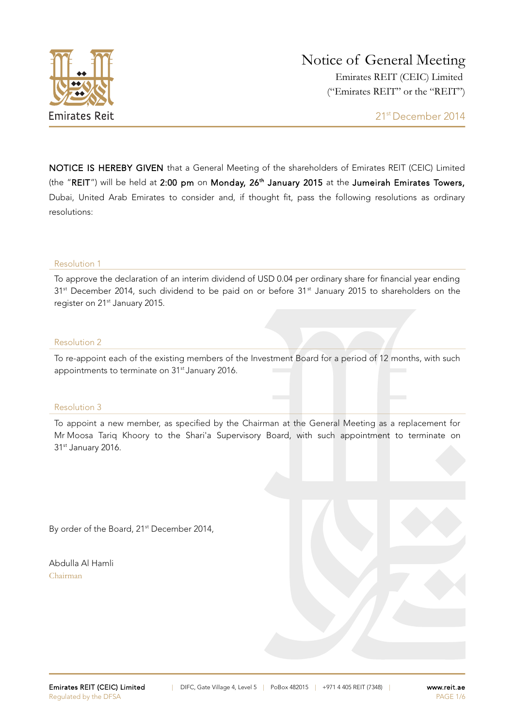

NOTICE IS HEREBY GIVEN that a General Meeting of the shareholders of Emirates REIT (CEIC) Limited (the "REIT") will be held at 2:00 pm on Monday, 26<sup>th</sup> January 2015 at the Jumeirah Emirates Towers, Dubai, United Arab Emirates to consider and, if thought fit, pass the following resolutions as ordinary resolutions:

#### Resolution 1

To approve the declaration of an interim dividend of USD 0.04 per ordinary share for financial year ending 31<sup>st</sup> December 2014, such dividend to be paid on or before 31<sup>st</sup> January 2015 to shareholders on the register on 21<sup>st</sup> January 2015.

#### Resolution 2

To re-appoint each of the existing members of the Investment Board for a period of 12 months, with such appointments to terminate on 31<sup>st</sup> January 2016.

#### Resolution 3

To appoint a new member, as specified by the Chairman at the General Meeting as a replacement for Mr Moosa Tariq Khoory to the Shari'a Supervisory Board, with such appointment to terminate on 31<sup>st</sup> January 2016.

By order of the Board, 21<sup>st</sup> December 2014,

Abdulla Al Hamli Chairman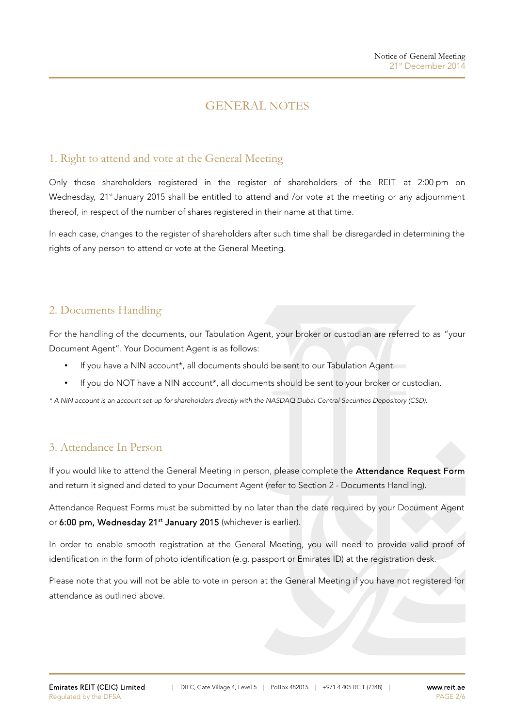# GENERAL NOTES

## 1. Right to attend and vote at the General Meeting

Only those shareholders registered in the register of shareholders of the REIT at 2:00 pm on Wednesday, 21<sup>st</sup> January 2015 shall be entitled to attend and /or vote at the meeting or any adjournment thereof, in respect of the number of shares registered in their name at that time.

In each case, changes to the register of shareholders after such time shall be disregarded in determining the rights of any person to attend or vote at the General Meeting.

# 2. Documents Handling

For the handling of the documents, our Tabulation Agent, your broker or custodian are referred to as "your Document Agent". Your Document Agent is as follows:

- If you have a NIN account\*, all documents should be sent to our Tabulation Agent.
- If you do NOT have a NIN account\*, all documents should be sent to your broker or custodian.

\* A NIN account is an account set-up for shareholders directly with the NASDAQ Dubai Central Securities Depository (CSD).

## 3. Attendance In Person

If you would like to attend the General Meeting in person, please complete the Attendance Request Form and return it signed and dated to your Document Agent (refer to Section 2 - Documents Handling).

Attendance Request Forms must be submitted by no later than the date required by your Document Agent or 6:00 pm, Wednesday 21<sup>st</sup> January 2015 (whichever is earlier).

In order to enable smooth registration at the General Meeting, you will need to provide valid proof of identification in the form of photo identification (e.g. passport or Emirates ID) at the registration desk.

Please note that you will not be able to vote in person at the General Meeting if you have not registered for attendance as outlined above.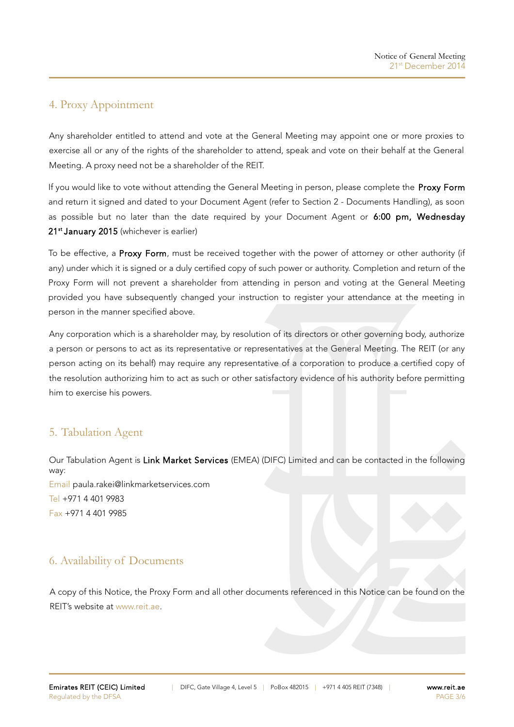### 4. Proxy Appointment

Any shareholder entitled to attend and vote at the General Meeting may appoint one or more proxies to exercise all or any of the rights of the shareholder to attend, speak and vote on their behalf at the General Meeting. A proxy need not be a shareholder of the REIT.

If you would like to vote without attending the General Meeting in person, please complete the Proxy Form and return it signed and dated to your Document Agent (refer to Section 2 - Documents Handling), as soon as possible but no later than the date required by your Document Agent or 6:00 pm, Wednesday 21<sup>st</sup> January 2015 (whichever is earlier)

To be effective, a Proxy Form, must be received together with the power of attorney or other authority (if any) under which it is signed or a duly certified copy of such power or authority. Completion and return of the Proxy Form will not prevent a shareholder from attending in person and voting at the General Meeting provided you have subsequently changed your instruction to register your attendance at the meeting in person in the manner specified above.

Any corporation which is a shareholder may, by resolution of its directors or other governing body, authorize a person or persons to act as its representative or representatives at the General Meeting. The REIT (or any person acting on its behalf) may require any representative of a corporation to produce a certified copy of the resolution authorizing him to act as such or other satisfactory evidence of his authority before permitting him to exercise his powers.

# 5. Tabulation Agent

Our Tabulation Agent is Link Market Services (EMEA) (DIFC) Limited and can be contacted in the following way: Email [paula.rakei@linkmarketservices.com](mailto:paule.rakei@linkmarketservices.com) Tel +971 4 401 9983 Fax +971 4 401 9985

## 6. Availability of Documents

A copy of this Notice, the Proxy Form and all other documents referenced in this Notice can be found on the REIT's website at [www.reit.ae.](http://www.reit.ae/)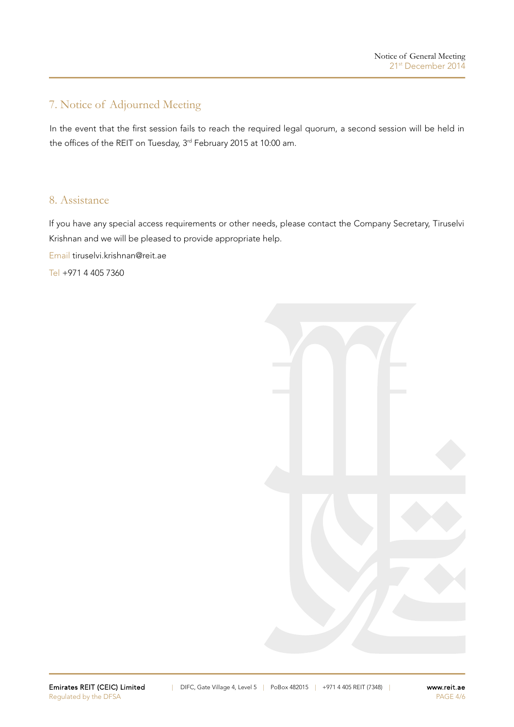# 7. Notice of Adjourned Meeting

In the event that the first session fails to reach the required legal quorum, a second session will be held in the offices of the REIT on Tuesday, 3<sup>rd</sup> February 2015 at 10:00 am.

### 8. Assistance

If you have any special access requirements or other needs, please contact the Company Secretary, Tiruselvi Krishnan and we will be pleased to provide appropriate help.

Email [tiruselvi.krishnan@reit.ae](mailto:tiruselvi.krishnan@reit.ae)

Tel +971 4 405 7360

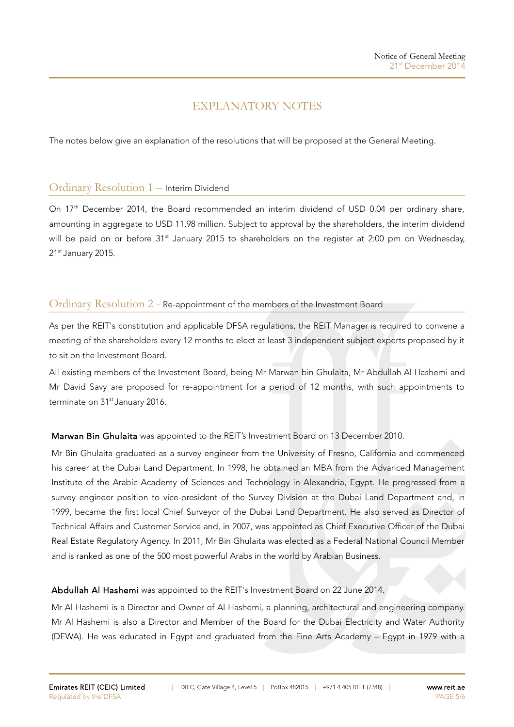# EXPLANATORY NOTES

The notes below give an explanation of the resolutions that will be proposed at the General Meeting.

### Ordinary Resolution 1 – Interim Dividend

On 17<sup>th</sup> December 2014, the Board recommended an interim dividend of USD 0.04 per ordinary share, amounting in aggregate to USD 11.98 million. Subject to approval by the shareholders, the interim dividend will be paid on or before 31<sup>st</sup> January 2015 to shareholders on the register at 2:00 pm on Wednesday, 21st January 2015.

### Ordinary Resolution 2 - Re-appointment of the members of the Investment Board

As per the REIT's constitution and applicable DFSA regulations, the REIT Manager is required to convene a meeting of the shareholders every 12 months to elect at least 3 independent subject experts proposed by it to sit on the Investment Board.

All existing members of the Investment Board, being Mr Marwan bin Ghulaita, Mr Abdullah Al Hashemi and Mr David Savy are proposed for re-appointment for a period of 12 months, with such appointments to terminate on 31<sup>st</sup> January 2016.

### Marwan Bin Ghulaita was appointed to the REIT's Investment Board on 13 December 2010.

Mr Bin Ghulaita graduated as a survey engineer from the University of Fresno, California and commenced his career at the Dubai Land Department. In 1998, he obtained an MBA from the Advanced Management Institute of the Arabic Academy of Sciences and Technology in Alexandria, Egypt. He progressed from a survey engineer position to vice-president of the Survey Division at the Dubai Land Department and, in 1999, became the first local Chief Surveyor of the Dubai Land Department. He also served as Director of Technical Affairs and Customer Service and, in 2007, was appointed as Chief Executive Officer of the Dubai Real Estate Regulatory Agency. In 2011, Mr Bin Ghulaita was elected as a Federal National Council Member and is ranked as one of the [500 most powerful Arabs](http://www.arabianbusiness.com/arabian-business-power-500-2013-493796.html?view=profile&itemid=494529) in the world by Arabian Business.

### Abdullah Al Hashemi was appointed to the REIT's Investment Board on 22 June 2014.

Mr Al Hashemi is a Director and Owner of Al Hashemi, a planning, architectural and engineering company. Mr Al Hashemi is also a Director and Member of the Board for the Dubai Electricity and Water Authority (DEWA). He was educated in Egypt and graduated from the Fine Arts Academy – Egypt in 1979 with a